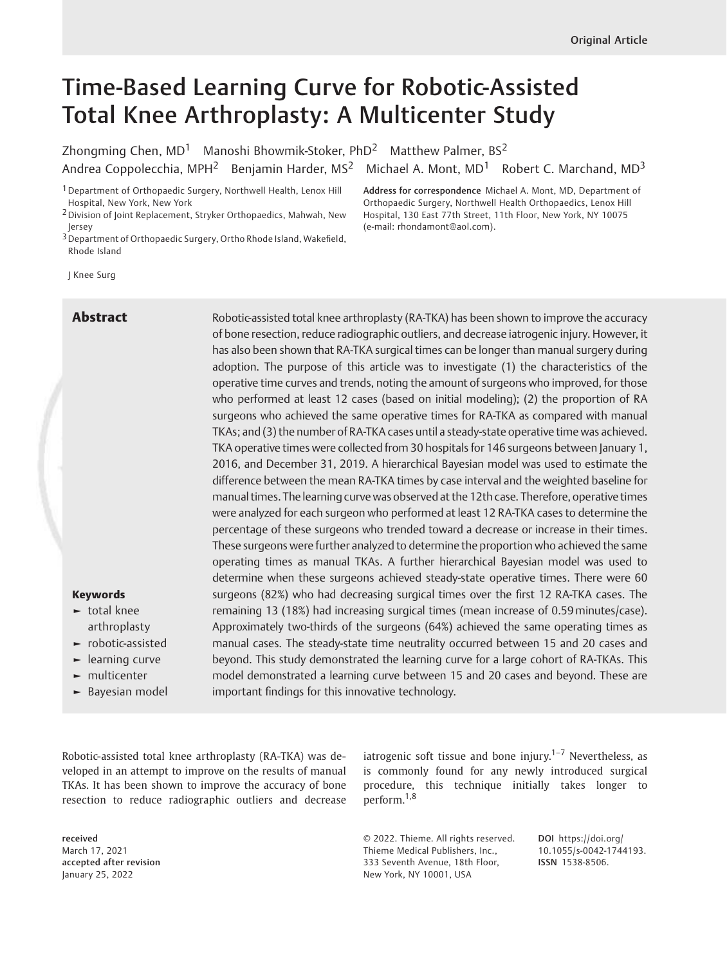# Time-Based Learning Curve for Robotic-Assisted Total Knee Arthroplasty: A Multicenter Study

Zhongming Chen,  $MD<sup>1</sup>$  Manoshi Bhowmik-Stoker, PhD<sup>2</sup> Matthew Palmer, BS<sup>2</sup> Andrea Coppolecchia, MPH<sup>2</sup> Benjamin Harder, MS<sup>2</sup> Michael A. Mont, MD<sup>1</sup> Robert C. Marchand, MD<sup>3</sup>

<sup>1</sup> Department of Orthopaedic Surgery, Northwell Health, Lenox Hill Hospital, New York, New York

<sup>3</sup> Department of Orthopaedic Surgery, Ortho Rhode Island, Wakefield, Rhode Island

Address for correspondence Michael A. Mont, MD, Department of Orthopaedic Surgery, Northwell Health Orthopaedics, Lenox Hill Hospital, 130 East 77th Street, 11th Floor, New York, NY 10075 (e-mail: [rhondamont@aol.com\)](mailto:rhondamont@aol.com).

J Knee Surg

**Abstract** Robotic-assisted total knee arthroplasty (RA-TKA) has been shown to improve the accuracy of bone resection, reduce radiographic outliers, and decrease iatrogenic injury. However, it has also been shown that RA-TKA surgical times can be longer than manual surgery during adoption. The purpose of this article was to investigate (1) the characteristics of the operative time curves and trends, noting the amount of surgeons who improved, for those who performed at least 12 cases (based on initial modeling); (2) the proportion of RA surgeons who achieved the same operative times for RA-TKA as compared with manual TKAs; and (3) the number of RA-TKA cases until a steady-state operative time was achieved. TKA operative times were collected from 30 hospitals for 146 surgeons between January 1, 2016, and December 31, 2019. A hierarchical Bayesian model was used to estimate the difference between the mean RA-TKA times by case interval and the weighted baseline for manual times. The learning curve was observed at the 12th case. Therefore, operative times were analyzed for each surgeon who performed at least 12 RA-TKA cases to determine the percentage of these surgeons who trended toward a decrease or increase in their times. These surgeons were further analyzed to determine the proportion who achieved the same operating times as manual TKAs. A further hierarchical Bayesian model was used to determine when these surgeons achieved steady-state operative times. There were 60 surgeons (82%) who had decreasing surgical times over the first 12 RA-TKA cases. The remaining 13 (18%) had increasing surgical times (mean increase of 0.59 minutes/case). Approximately two-thirds of the surgeons (64%) achieved the same operating times as manual cases. The steady-state time neutrality occurred between 15 and 20 cases and beyond. This study demonstrated the learning curve for a large cohort of RA-TKAs. This model demonstrated a learning curve between 15 and 20 cases and beyond. These are important findings for this innovative technology.

#### Keywords

- ► total knee arthroplasty
- ► robotic-assisted
- ► learning curve
- ► multicenter
- ► Bayesian model

Robotic-assisted total knee arthroplasty (RA-TKA) was developed in an attempt to improve on the results of manual TKAs. It has been shown to improve the accuracy of bone resection to reduce radiographic outliers and decrease

received March 17, 2021 accepted after revision January 25, 2022

iatrogenic soft tissue and bone injury.<sup> $1-7$ </sup> Nevertheless, as is commonly found for any newly introduced surgical procedure, this technique initially takes longer to perform.1,8

© 2022. Thieme. All rights reserved. Thieme Medical Publishers, Inc., 333 Seventh Avenue, 18th Floor, New York, NY 10001, USA

DOI [https://doi.org/](https://doi.org/10.1055/s-0042-1744193) [10.1055/s-0042-1744193](https://doi.org/10.1055/s-0042-1744193). ISSN 1538-8506.

<sup>2</sup>Division of Joint Replacement, Stryker Orthopaedics, Mahwah, New Jersey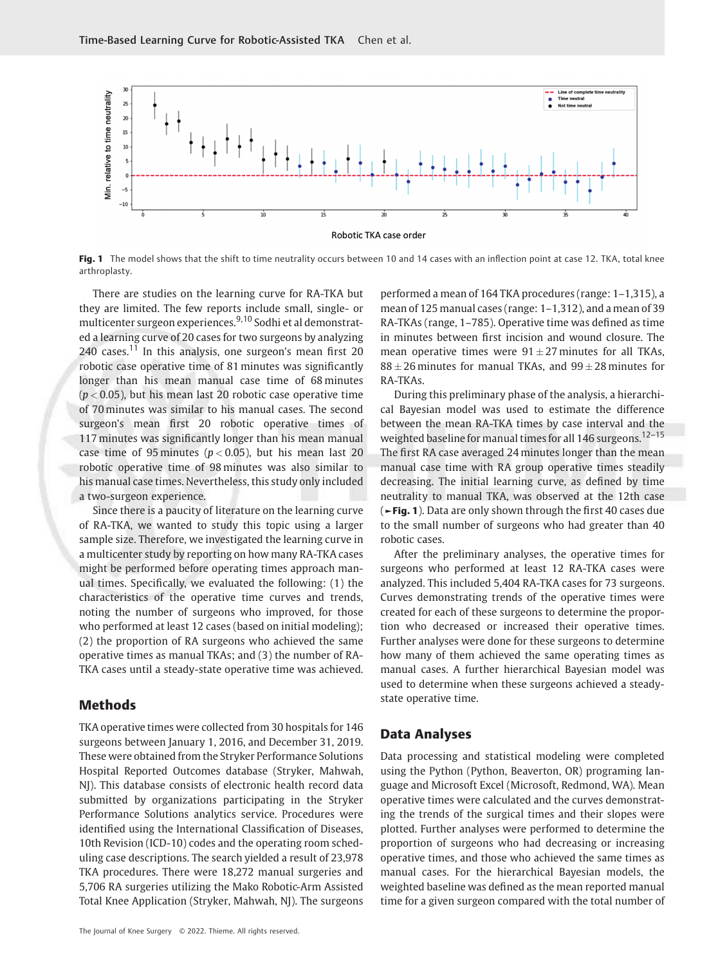

Fig. 1 The model shows that the shift to time neutrality occurs between 10 and 14 cases with an inflection point at case 12. TKA, total knee arthroplasty.

There are studies on the learning curve for RA-TKA but they are limited. The few reports include small, single- or multicenter surgeon experiences.<sup>9,10</sup> Sodhi et al demonstrated a learning curve of 20 cases for two surgeons by analyzing  $240$  cases.<sup>11</sup> In this analysis, one surgeon's mean first  $20$ robotic case operative time of 81 minutes was significantly longer than his mean manual case time of 68 minutes  $(p < 0.05)$ , but his mean last 20 robotic case operative time of 70 minutes was similar to his manual cases. The second surgeon's mean first 20 robotic operative times of 117 minutes was significantly longer than his mean manual case time of 95 minutes ( $p < 0.05$ ), but his mean last 20 robotic operative time of 98 minutes was also similar to his manual case times. Nevertheless, this study only included a two-surgeon experience.

Since there is a paucity of literature on the learning curve of RA-TKA, we wanted to study this topic using a larger sample size. Therefore, we investigated the learning curve in a multicenter study by reporting on how many RA-TKA cases might be performed before operating times approach manual times. Specifically, we evaluated the following: (1) the characteristics of the operative time curves and trends, noting the number of surgeons who improved, for those who performed at least 12 cases (based on initial modeling); (2) the proportion of RA surgeons who achieved the same operative times as manual TKAs; and (3) the number of RA-TKA cases until a steady-state operative time was achieved.

#### Methods

TKA operative times were collected from 30 hospitals for 146 surgeons between January 1, 2016, and December 31, 2019. These were obtained from the Stryker Performance Solutions Hospital Reported Outcomes database (Stryker, Mahwah, NJ). This database consists of electronic health record data submitted by organizations participating in the Stryker Performance Solutions analytics service. Procedures were identified using the International Classification of Diseases, 10th Revision (ICD-10) codes and the operating room scheduling case descriptions. The search yielded a result of 23,978 TKA procedures. There were 18,272 manual surgeries and 5,706 RA surgeries utilizing the Mako Robotic-Arm Assisted Total Knee Application (Stryker, Mahwah, NJ). The surgeons

performed a mean of 164 TKA procedures (range: 1–1,315), a mean of 125 manual cases (range: 1–1,312), and a mean of 39 RA-TKAs (range, 1–785). Operative time was defined as time in minutes between first incision and wound closure. The mean operative times were  $91 \pm 27$  minutes for all TKAs,  $88 \pm 26$  minutes for manual TKAs, and  $99 \pm 28$  minutes for RA-TKAs.

During this preliminary phase of the analysis, a hierarchical Bayesian model was used to estimate the difference between the mean RA-TKA times by case interval and the weighted baseline for manual times for all 146 surgeons.<sup>12-15</sup> The first RA case averaged 24 minutes longer than the mean manual case time with RA group operative times steadily decreasing. The initial learning curve, as defined by time neutrality to manual TKA, was observed at the 12th case (►Fig. 1). Data are only shown through the first 40 cases due to the small number of surgeons who had greater than 40 robotic cases.

After the preliminary analyses, the operative times for surgeons who performed at least 12 RA-TKA cases were analyzed. This included 5,404 RA-TKA cases for 73 surgeons. Curves demonstrating trends of the operative times were created for each of these surgeons to determine the proportion who decreased or increased their operative times. Further analyses were done for these surgeons to determine how many of them achieved the same operating times as manual cases. A further hierarchical Bayesian model was used to determine when these surgeons achieved a steadystate operative time.

### Data Analyses

Data processing and statistical modeling were completed using the Python (Python, Beaverton, OR) programing language and Microsoft Excel (Microsoft, Redmond, WA). Mean operative times were calculated and the curves demonstrating the trends of the surgical times and their slopes were plotted. Further analyses were performed to determine the proportion of surgeons who had decreasing or increasing operative times, and those who achieved the same times as manual cases. For the hierarchical Bayesian models, the weighted baseline was defined as the mean reported manual time for a given surgeon compared with the total number of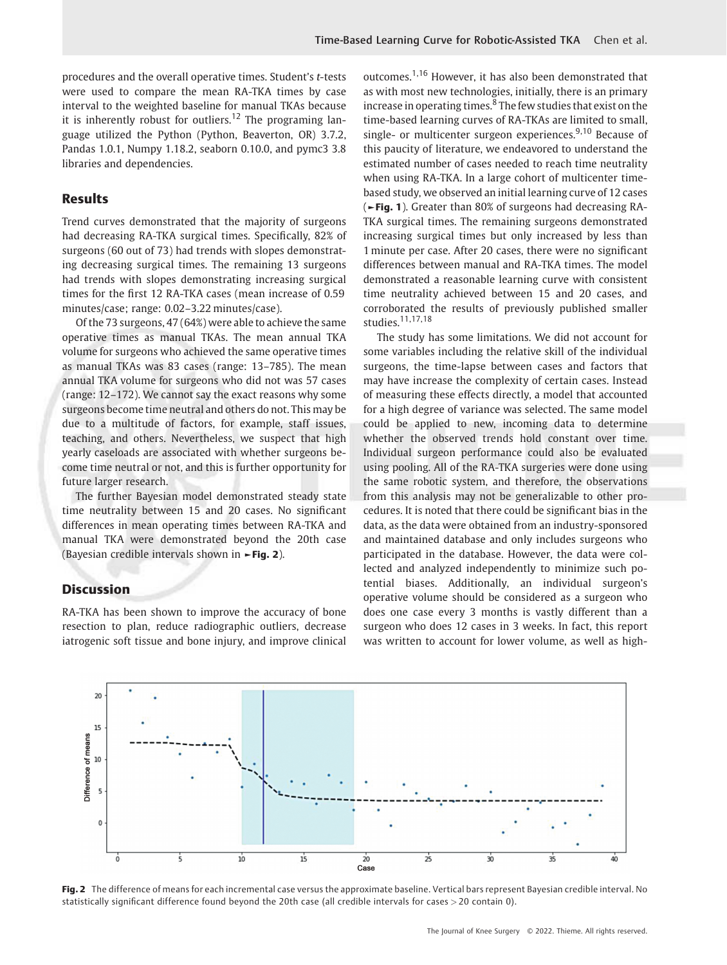procedures and the overall operative times. Student's t-tests were used to compare the mean RA-TKA times by case interval to the weighted baseline for manual TKAs because it is inherently robust for outliers.<sup>12</sup> The programing language utilized the Python (Python, Beaverton, OR) 3.7.2, Pandas 1.0.1, Numpy 1.18.2, seaborn 0.10.0, and pymc3 3.8 libraries and dependencies.

## Results

Trend curves demonstrated that the majority of surgeons had decreasing RA-TKA surgical times. Specifically, 82% of surgeons (60 out of 73) had trends with slopes demonstrating decreasing surgical times. The remaining 13 surgeons had trends with slopes demonstrating increasing surgical times for the first 12 RA-TKA cases (mean increase of 0.59 minutes/case; range: 0.02–3.22 minutes/case).

Of the 73 surgeons, 47 (64%) were able to achieve the same operative times as manual TKAs. The mean annual TKA volume for surgeons who achieved the same operative times as manual TKAs was 83 cases (range: 13–785). The mean annual TKA volume for surgeons who did not was 57 cases (range: 12–172). We cannot say the exact reasons why some surgeons become time neutral and others do not. This may be due to a multitude of factors, for example, staff issues, teaching, and others. Nevertheless, we suspect that high yearly caseloads are associated with whether surgeons become time neutral or not, and this is further opportunity for future larger research.

The further Bayesian model demonstrated steady state time neutrality between 15 and 20 cases. No significant differences in mean operating times between RA-TKA and manual TKA were demonstrated beyond the 20th case (Bayesian credible intervals shown in ►Fig. 2).

### Discussion

RA-TKA has been shown to improve the accuracy of bone resection to plan, reduce radiographic outliers, decrease iatrogenic soft tissue and bone injury, and improve clinical outcomes.1,16 However, it has also been demonstrated that as with most new technologies, initially, there is an primary increase in operating times. $8$  The few studies that exist on the time-based learning curves of RA-TKAs are limited to small, single- or multicenter surgeon experiences.<sup>9,10</sup> Because of this paucity of literature, we endeavored to understand the estimated number of cases needed to reach time neutrality when using RA-TKA. In a large cohort of multicenter timebased study, we observed an initial learning curve of 12 cases (►Fig. 1). Greater than 80% of surgeons had decreasing RA-TKA surgical times. The remaining surgeons demonstrated increasing surgical times but only increased by less than 1 minute per case. After 20 cases, there were no significant differences between manual and RA-TKA times. The model demonstrated a reasonable learning curve with consistent time neutrality achieved between 15 and 20 cases, and corroborated the results of previously published smaller studies.11,17,18

The study has some limitations. We did not account for some variables including the relative skill of the individual surgeons, the time-lapse between cases and factors that may have increase the complexity of certain cases. Instead of measuring these effects directly, a model that accounted for a high degree of variance was selected. The same model could be applied to new, incoming data to determine whether the observed trends hold constant over time. Individual surgeon performance could also be evaluated using pooling. All of the RA-TKA surgeries were done using the same robotic system, and therefore, the observations from this analysis may not be generalizable to other procedures. It is noted that there could be significant bias in the data, as the data were obtained from an industry-sponsored and maintained database and only includes surgeons who participated in the database. However, the data were collected and analyzed independently to minimize such potential biases. Additionally, an individual surgeon's operative volume should be considered as a surgeon who does one case every 3 months is vastly different than a surgeon who does 12 cases in 3 weeks. In fact, this report was written to account for lower volume, as well as high-



Fig. 2 The difference of means for each incremental case versus the approximate baseline. Vertical bars represent Bayesian credible interval. No statistically significant difference found beyond the 20th case (all credible intervals for cases > 20 contain 0).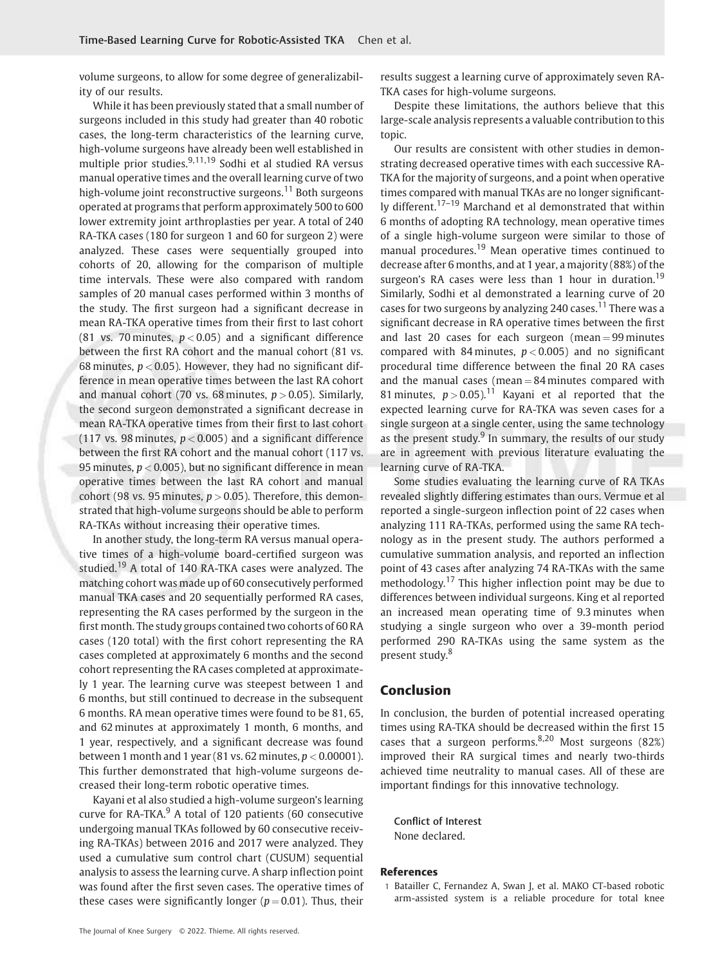volume surgeons, to allow for some degree of generalizability of our results.

While it has been previously stated that a small number of surgeons included in this study had greater than 40 robotic cases, the long-term characteristics of the learning curve, high-volume surgeons have already been well established in multiple prior studies.9,11,19 Sodhi et al studied RA versus manual operative times and the overall learning curve of two high-volume joint reconstructive surgeons.<sup>11</sup> Both surgeons operated at programs that perform approximately 500 to 600 lower extremity joint arthroplasties per year. A total of 240 RA-TKA cases (180 for surgeon 1 and 60 for surgeon 2) were analyzed. These cases were sequentially grouped into cohorts of 20, allowing for the comparison of multiple time intervals. These were also compared with random samples of 20 manual cases performed within 3 months of the study. The first surgeon had a significant decrease in mean RA-TKA operative times from their first to last cohort (81 vs. 70 minutes,  $p < 0.05$ ) and a significant difference between the first RA cohort and the manual cohort (81 vs. 68 minutes,  $p < 0.05$ ). However, they had no significant difference in mean operative times between the last RA cohort and manual cohort (70 vs. 68 minutes,  $p > 0.05$ ). Similarly, the second surgeon demonstrated a significant decrease in mean RA-TKA operative times from their first to last cohort (117 vs. 98 minutes,  $p < 0.005$ ) and a significant difference between the first RA cohort and the manual cohort (117 vs. 95 minutes,  $p < 0.005$ ), but no significant difference in mean operative times between the last RA cohort and manual cohort (98 vs. 95 minutes,  $p > 0.05$ ). Therefore, this demonstrated that high-volume surgeons should be able to perform RA-TKAs without increasing their operative times.

In another study, the long-term RA versus manual operative times of a high-volume board-certified surgeon was studied.<sup>19</sup> A total of 140 RA-TKA cases were analyzed. The matching cohort was made up of 60 consecutively performed manual TKA cases and 20 sequentially performed RA cases, representing the RA cases performed by the surgeon in the first month. The study groups contained two cohorts of 60 RA cases (120 total) with the first cohort representing the RA cases completed at approximately 6 months and the second cohort representing the RA cases completed at approximately 1 year. The learning curve was steepest between 1 and 6 months, but still continued to decrease in the subsequent 6 months. RA mean operative times were found to be 81, 65, and 62 minutes at approximately 1 month, 6 months, and 1 year, respectively, and a significant decrease was found between 1 month and 1 year (81 vs. 62 minutes,  $p < 0.00001$ ). This further demonstrated that high-volume surgeons decreased their long-term robotic operative times.

Kayani et al also studied a high-volume surgeon's learning curve for  $RA$ -TKA $<sup>9</sup>$  A total of 120 patients (60 consecutive</sup> undergoing manual TKAs followed by 60 consecutive receiving RA-TKAs) between 2016 and 2017 were analyzed. They used a cumulative sum control chart (CUSUM) sequential analysis to assess the learning curve. A sharp inflection point was found after the first seven cases. The operative times of these cases were significantly longer ( $p = 0.01$ ). Thus, their results suggest a learning curve of approximately seven RA-TKA cases for high-volume surgeons.

Despite these limitations, the authors believe that this large-scale analysis represents a valuable contribution to this topic.

Our results are consistent with other studies in demonstrating decreased operative times with each successive RA-TKA for the majority of surgeons, and a point when operative times compared with manual TKAs are no longer significantly different.<sup>17–19</sup> Marchand et al demonstrated that within 6 months of adopting RA technology, mean operative times of a single high-volume surgeon were similar to those of manual procedures.<sup>19</sup> Mean operative times continued to decrease after 6 months, and at 1 year, a majority (88%) of the surgeon's RA cases were less than 1 hour in duration.<sup>19</sup> Similarly, Sodhi et al demonstrated a learning curve of 20 cases for two surgeons by analyzing 240 cases.<sup>11</sup> There was a significant decrease in RA operative times between the first and last 20 cases for each surgeon (mean  $=$  99 minutes compared with 84 minutes,  $p < 0.005$ ) and no significant procedural time difference between the final 20 RA cases and the manual cases (mean  $= 84$  minutes compared with 81 minutes,  $p > 0.05$ ).<sup>11</sup> Kayani et al reported that the expected learning curve for RA-TKA was seven cases for a single surgeon at a single center, using the same technology as the present study. $9$  In summary, the results of our study are in agreement with previous literature evaluating the learning curve of RA-TKA.

Some studies evaluating the learning curve of RA TKAs revealed slightly differing estimates than ours. Vermue et al reported a single-surgeon inflection point of 22 cases when analyzing 111 RA-TKAs, performed using the same RA technology as in the present study. The authors performed a cumulative summation analysis, and reported an inflection point of 43 cases after analyzing 74 RA-TKAs with the same methodology.<sup>17</sup> This higher inflection point may be due to differences between individual surgeons. King et al reported an increased mean operating time of 9.3 minutes when studying a single surgeon who over a 39-month period performed 290 RA-TKAs using the same system as the present study.<sup>8</sup>

#### Conclusion

In conclusion, the burden of potential increased operating times using RA-TKA should be decreased within the first 15 cases that a surgeon performs.  $8,20$  Most surgeons (82%) improved their RA surgical times and nearly two-thirds achieved time neutrality to manual cases. All of these are important findings for this innovative technology.

Conflict of Interest None declared.

#### References

1 Batailler C, Fernandez A, Swan J, et al. MAKO CT-based robotic arm-assisted system is a reliable procedure for total knee